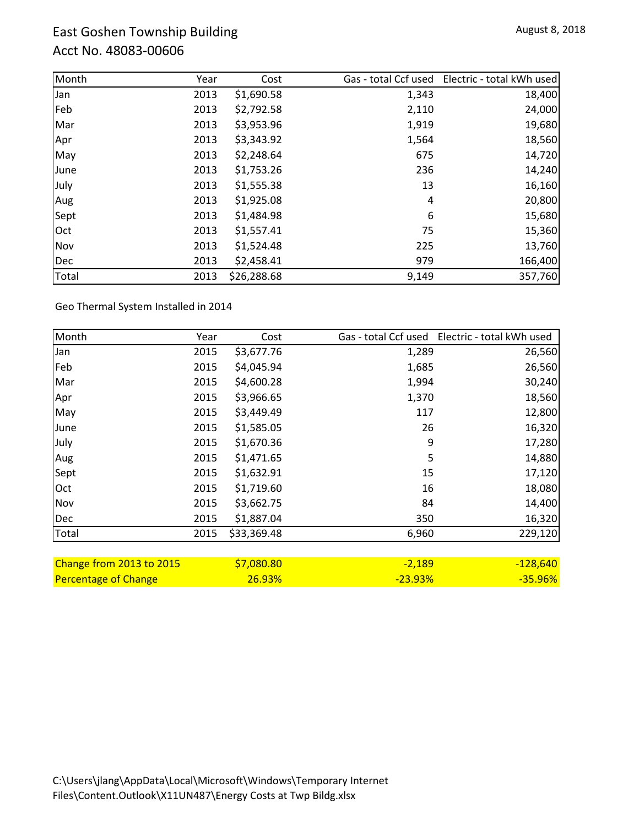## East Goshen Township Building Acct No. 48083-00606

| Month | Year | Cost        | Gas - total Ccf used | Electric - total kWh used |
|-------|------|-------------|----------------------|---------------------------|
| Jan   | 2013 | \$1,690.58  | 1,343                | 18,400                    |
| Feb   | 2013 | \$2,792.58  | 2,110                | 24,000                    |
| Mar   | 2013 | \$3,953.96  | 1,919                | 19,680                    |
| Apr   | 2013 | \$3,343.92  | 1,564                | 18,560                    |
| May   | 2013 | \$2,248.64  | 675                  | 14,720                    |
| June  | 2013 | \$1,753.26  | 236                  | 14,240                    |
| July  | 2013 | \$1,555.38  | 13                   | 16,160                    |
| Aug   | 2013 | \$1,925.08  | 4                    | 20,800                    |
| Sept  | 2013 | \$1,484.98  | 6                    | 15,680                    |
| Oct   | 2013 | \$1,557.41  | 75                   | 15,360                    |
| Nov   | 2013 | \$1,524.48  | 225                  | 13,760                    |
| Dec   | 2013 | \$2,458.41  | 979                  | 166,400                   |
| Total | 2013 | \$26,288.68 | 9,149                | 357,760                   |

Geo Thermal System Installed in 2014

| Month                       | Year | Cost        |           | Gas - total Ccf used Electric - total kWh used |
|-----------------------------|------|-------------|-----------|------------------------------------------------|
| Jan                         | 2015 | \$3,677.76  | 1,289     | 26,560                                         |
| Feb                         | 2015 | \$4,045.94  | 1,685     | 26,560                                         |
| Mar                         | 2015 | \$4,600.28  | 1,994     | 30,240                                         |
| Apr                         | 2015 | \$3,966.65  | 1,370     | 18,560                                         |
| May                         | 2015 | \$3,449.49  | 117       | 12,800                                         |
| June                        | 2015 | \$1,585.05  | 26        | 16,320                                         |
| July                        | 2015 | \$1,670.36  | 9         | 17,280                                         |
| Aug                         | 2015 | \$1,471.65  | 5         | 14,880                                         |
| Sept                        | 2015 | \$1,632.91  | 15        | 17,120                                         |
| Oct                         | 2015 | \$1,719.60  | 16        | 18,080                                         |
| Nov                         | 2015 | \$3,662.75  | 84        | 14,400                                         |
| Dec                         | 2015 | \$1,887.04  | 350       | 16,320                                         |
| Total                       | 2015 | \$33,369.48 | 6,960     | 229,120                                        |
|                             |      |             |           |                                                |
| Change from 2013 to 2015    |      | \$7,080.80  | $-2,189$  | $-128,640$                                     |
| <b>Percentage of Change</b> |      | 26.93%      | $-23.93%$ | $-35.96%$                                      |